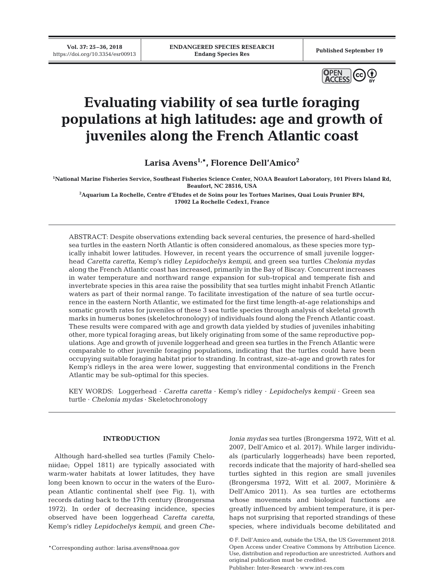**Vol. 37: 25–36, 2018**



# **Evaluating viability of sea turtle foraging populations at high latitudes: age and growth of juveniles along the French Atlantic coast**

**Larisa Avens1,\*, Florence Dell'Amico2**

**1 National Marine Fisheries Service, Southeast Fisheries Science Center, NOAA Beaufort Laboratory, 101 Pivers Island Rd, Beaufort, NC 28516, USA**

**2 Aquarium La Rochelle, Centre d'Etudes et de Soins pour les Tortues Marines, Quai Louis Prunier BP4, 17002 La Rochelle Cedex1, France**

ABSTRACT: Despite observations extending back several centuries, the presence of hard-shelled sea turtles in the eastern North Atlantic is often considered anomalous, as these species more typically inhabit lower latitudes. However, in recent years the occurrence of small juvenile loggerhead *Caretta caretta*, Kemp's ridley *Lepidochelys kempii*, and green sea turtles *Chelonia mydas* along the French Atlantic coast has increased, primarily in the Bay of Biscay. Concurrent increases in water temperature and northward range expansion for sub-tropical and temperate fish and invertebrate species in this area raise the possibility that sea turtles might inhabit French Atlantic waters as part of their normal range. To facilitate investigation of the nature of sea turtle occurrence in the eastern North Atlantic, we estimated for the first time length-at-age relationships and somatic growth rates for juveniles of these 3 sea turtle species through analysis of skeletal growth marks in humerus bones (skeletochronology) of individuals found along the French Atlantic coast. These results were compared with age and growth data yielded by studies of juveniles inhabiting other, more typical foraging areas, but likely originating from some of the same reproductive populations. Age and growth of juvenile loggerhead and green sea turtles in the French Atlantic were comparable to other juvenile foraging populations, indicating that the turtles could have been occupying suitable foraging habitat prior to stranding. In contrast, size-at-age and growth rates for Kemp's ridleys in the area were lower, suggesting that environmental conditions in the French Atlantic may be sub-optimal for this species.

KEY WORDS: Loggerhead · *Caretta caretta* · Kemp's ridley · *Lepidochelys kempii* · Green sea turtle · *Chelonia mydas* · Skeletochronology

## **INTRODUCTION**

Although hard-shelled sea turtles (Family Cheloniidae; Oppel 1811) are typically associated with warm-water habitats at lower latitudes, they have long been known to occur in the waters of the European Atlantic continental shelf (see Fig. 1), with records dating back to the 17th century (Brongersma 1972). In order of decreasing incidence, species observed have been loggerhead *Caretta caretta*, Kemp's ridley *Lepidochelys kempii*, and green *Che-* *lonia mydas* sea turtles (Brongersma 1972, Witt et al. 2007, Dell'Amico et al. 2017). While larger individuals (particularly loggerheads) have been reported, records indicate that the majority of hard-shelled sea turtles sighted in this region are small juveniles (Brongersma 1972, Witt et al. 2007, Morinière & Dell'Amico 2011). As sea turtles are ectotherms whose movements and biological functions are greatly influenced by ambient temperature, it is perhaps not surprising that reported strandings of these species, where individuals become debilitated and

Publisher: Inter-Research · www.int-res.com

<sup>\*</sup>Corresponding author: larisa.avens@noaa.gov

<sup>©</sup> F. Dell'Amico and, outside the USA, the US Government 2018. Open Access under Creative Commons by Attribution Licence. Use, distribution and reproduction are unrestricted. Authors and original publication must be credited.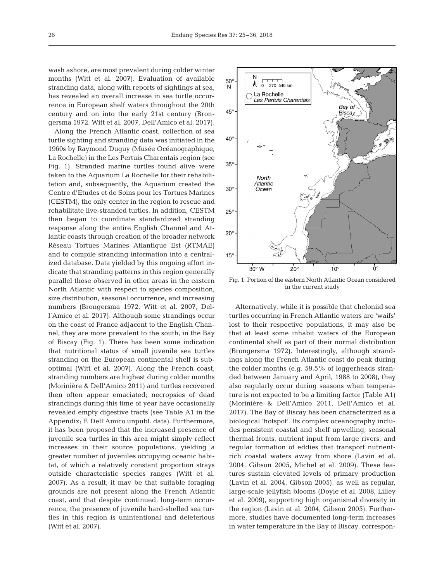wash ashore, are most prevalent during colder winter months (Witt et al. 2007). Evaluation of available stranding data, along with reports of sightings at sea, has revealed an overall increase in sea turtle occurrence in European shelf waters throughout the 20th century and on into the early 21st century (Brongersma 1972, Witt et al. 2007, Dell'Amico et al. 2017).

Along the French Atlantic coast, collection of sea turtle sighting and stranding data was initiated in the 1960s by Raymond Duguy (Musée Océanographique, La Rochelle) in the Les Pertuis Charentais region (see Fig. 1). Stranded marine turtles found alive were taken to the Aquarium La Rochelle for their rehabilitation and, subsequently, the Aquarium created the Centre d'Etudes et de Soins pour les Tortues Marines (CESTM), the only center in the region to rescue and rehabilitate live-stranded turtles. In addition, CESTM then began to coordinate standardized stranding response along the entire English Channel and Atlantic coasts through creation of the broader network Réseau Tortues Marines Atlantique Est (RTMAE) and to compile stranding information into a centralized database. Data yielded by this ongoing effort indicate that stranding patterns in this region generally parallel those observed in other areas in the eastern North Atlantic with respect to species composition, size distribution, seasonal occurrence, and increasing numbers (Brongersma 1972, Witt et al. 2007, Dell'Amico et al. 2017). Although some strandings occur on the coast of France adjacent to the English Channel, they are more prevalent to the south, in the Bay of Biscay (Fig. 1). There has been some indication that nutritional status of small juvenile sea turtles stranding on the European continental shelf is suboptimal (Witt et al. 2007). Along the French coast, stranding numbers are highest during colder months (Morinière & Dell'Amico 2011) and turtles recovered then often appear emaciated; necropsies of dead strandings during this time of year have occasionally revealed empty digestive tracts (see Table A1 in the Appendix; F. Dell'Amico unpubl. data). Furthermore, it has been proposed that the increased presence of juvenile sea turtles in this area might simply reflect increases in their source populations, yielding a greater number of juveniles occupying oceanic habitat, of which a relatively constant proportion strays outside characteristic species ranges (Witt et al. 2007). As a result, it may be that suitable foraging grounds are not present along the French Atlantic coast, and that despite continued, long-term occurrence, the presence of juvenile hard-shelled sea turtles in this region is unintentional and deleterious (Witt et al. 2007).



Fig. 1. Portion of the eastern North Atlantic Ocean considered in the current study

Alternatively, while it is possible that cheloniid sea turtles occurring in French Atlantic waters are 'waifs' lost to their respective populations, it may also be that at least some inhabit waters of the European continental shelf as part of their normal distribution (Brongersma 1972). Interestingly, although strandings along the French Atlantic coast do peak during the colder months (e.g. 59.5% of loggerheads stran ded between January and April, 1988 to 2008), they also regularly occur during seasons when temperature is not expected to be a limiting factor (Table A1) (Morinière & Dell'Amico 2011, Dell'Amico et al. 2017). The Bay of Biscay has been characterized as a biological 'hotspot'. Its complex oceanography includes persistent coastal and shelf upwelling, seasonal thermal fronts, nutrient input from large rivers, and regular formation of eddies that transport nutrientrich coastal waters away from shore (Lavin et al. 2004, Gibson 2005, Michel et al. 2009). These features sustain elevated levels of primary production (Lavin et al. 2004, Gibson 2005), as well as regular, large-scale jellyfish blooms (Doyle et al. 2008, Lilley et al. 2009), supporting high organismal diversity in the region (Lavin et al. 2004, Gibson 2005). Furthermore, studies have documented long-term increases in water temperature in the Bay of Biscay, correspon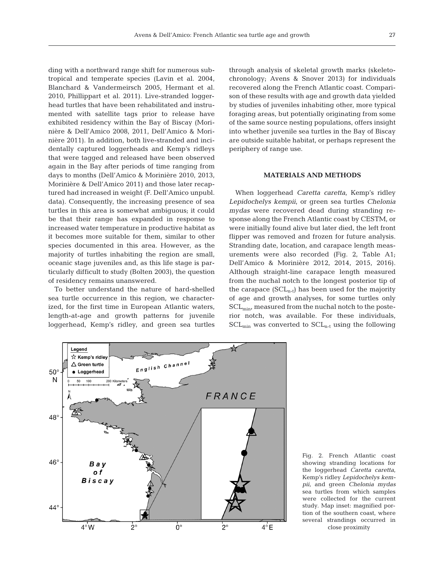ding with a northward range shift for numerous subtropical and temperate species (Lavin et al. 2004, Blanchard & Vandermeirsch 2005, Hermant et al. 2010, Phillippart et al. 2011). Live-stranded loggerhead turtles that have been rehabilitated and instrumented with satellite tags prior to release have exhibited residency within the Bay of Biscay (Morinière & Dell'Amico 2008, 2011, Dell'Amico & Mori nière 2011). In addition, both live-stranded and incidentally captured loggerheads and Kemp's ridleys that were tagged and released have been observed again in the Bay after periods of time ranging from days to months (Dell'Amico & Morinière 2010, 2013, Morinière & Dell'Amico 2011) and those later recaptured had increased in weight (F. Dell'Amico unpubl. data). Consequently, the increasing presence of sea turtles in this area is somewhat ambiguous; it could be that their range has expanded in response to increased water temperature in productive habitat as it becomes more suitable for them, similar to other species documented in this area. However, as the majority of turtles inhabiting the region are small, oceanic stage juveniles and, as this life stage is particularly difficult to study (Bolten 2003), the question of residency remains unanswered.

To better understand the nature of hard-shelled sea turtle occurrence in this region, we characterized, for the first time in European Atlantic waters, length-at-age and growth patterns for juvenile loggerhead, Kemp's ridley, and green sea turtles

through analysis of skeletal growth marks (skeleto chronology; Avens & Snover 2013) for individuals recovered along the French Atlantic coast. Comparison of these results with age and growth data yielded by studies of juveniles inhabiting other, more typical foraging areas, but potentially originating from some of the same source nesting populations, offers insight into whether juvenile sea turtles in the Bay of Biscay are outside suitable habitat, or perhaps represent the periphery of range use.

# **MATERIALS AND METHODS**

When loggerhead *Caretta caretta*, Kemp's ridley *Lepidochelys kempii*, or green sea turtles *Chelonia mydas* were recovered dead during stranding response along the French Atlantic coast by CESTM, or were initially found alive but later died, the left front flipper was removed and frozen for future analysis. Stranding date, location, and carapace length measurements were also recorded (Fig. 2, Table A1; Dell'Amico & Morinière 2012, 2014, 2015, 2016). Although straight-line carapace length measured from the nuchal notch to the longest posterior tip of the carapace  $(SCL_{n-t})$  has been used for the majority of age and growth analyses, for some turtles only SCL<sub>min</sub>, measured from the nuchal notch to the posterior notch, was available. For these individuals,  $SCL_{min}$  was converted to  $SCL_{n-t}$  using the following



Fig. 2. French Atlantic coast showing stranding locations for the loggerhead *Caretta caretta*, Kemp's ridley *Lepidochelys kempii*, and green *Chelonia mydas* sea turtles from which samples were collected for the current study. Map inset: magnified portion of the southern coast, where several strandings occurred in close proximity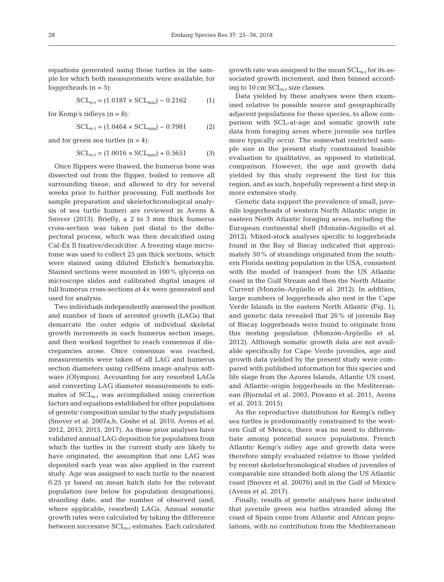equations generated using those turtles in the sample for which both measurements were available; for loggerheads  $(n = 5)$ :

$$
SCL_{n-t} = (1.0187 \times SCL_{min}) - 0.2162
$$
 (1)

for Kemp's ridleys  $(n = 8)$ :

$$
SCL_{n-t} = (1.0464 \times SCL_{min}) - 0.7981
$$
 (2)

and for green sea turtles  $(n = 4)$ :

$$
SCL_{n-t} = (1.0016 \times SCL_{min}) + 0.5651
$$
 (3)

Once flippers were thawed, the humerus bone was dissected out from the flipper, boiled to remove all surrounding tissue, and allowed to dry for several weeks prior to further processing. Full methods for sample preparation and skeletochronological analysis of sea turtle humeri are reviewed in Avens & Snover (2013). Briefly, a 2 to 3 mm thick humerus cross-section was taken just distal to the deltopectoral process, which was then decalcified using Cal-Ex II fixative/decalcifier. A freezing stage microtome was used to collect 25 µm thick sections, which were stained using diluted Ehrlich's hematoxylin. Stained sections were mounted in 100% glycerin on microscope slides and calibrated digital images of full humerus cross-sections at 4× were generated and used for analysis.

Two individuals independently assessed the position and number of lines of arrested growth (LAGs) that demarcate the outer edges of individual skeletal growth increments in each humerus section image, and then worked together to reach consensus if discrepancies arose. Once consensus was reached, measurements were taken of all LAG and humerus section diameters using cellSens image analysis software (Olympus). Accounting for any resorbed LAGs and converting LAG diameter measurements to estimates of  $SCL_{n-t}$  was accomplished using correction factors and equations established for other populations of genetic composition similar to the study populations (Snover et al. 2007a,b, Goshe et al. 2010, Avens et al. 2012, 2013, 2015, 2017). As these prior analyses have validated annual LAG deposition for populations from which the turtles in the current study are likely to have originated, the assumption that one LAG was deposited each year was also applied in the current study. Age was assigned to each turtle to the nearest 0.25 yr based on mean hatch date for the relevant population (see below for population designations), stranding date, and the number of observed (and, where applicable, resorbed) LAGs. Annual somatic growth rates were calculated by taking the difference between successive  $SCL_{n-t}$  estimates. Each calculated

growth rate was assigned to the mean  $SCL_{n-t}$  for its associated growth increment, and then binned according to 10 cm  $SCL_{n-t}$  size classes.

Data yielded by these analyses were then examined relative to possible source and geographically adjacent populations for these species, to allow comparison with SCL-at-age and somatic growth rate data from foraging areas where juvenile sea turtles more typically occur. The somewhat restricted sample size in the present study constrained feasible evaluation to qualitative, as opposed to statistical, comparison. However, the age and growth data yielded by this study represent the first for this region, and as such, hopefully represent a first step in more extensive study.

Genetic data support the prevalence of small, juvenile loggerheads of western North Atlantic origin in eastern North Atlantic foraging areas, including the European continental shelf (Monzón-Argüello et al. 2012). Mixed-stock analyses specific to loggerheads found in the Bay of Biscay indicated that approximately 50% of strandings originated from the southern Florida nesting population in the USA, consistent with the model of transport from the US Atlantic coast in the Gulf Stream and then the North Atlantic Current (Monzón-Argüello et al. 2012). In addition, large numbers of loggerheads also nest in the Cape Verde Islands in the eastern North Atlantic (Fig. 1), and genetic data revealed that 26% of juvenile Bay of Biscay loggerheads were found to originate from this nesting population (Monzón-Argüello et al. 2012). Although somatic growth data are not available specifically for Cape Verde juveniles, age and growth data yielded by the present study were compared with published information for this species and life stage from the Azores Islands, Atlantic US coast, and Atlantic-origin loggerheads in the Mediterranean (Bjorndal et al. 2003, Piovano et al. 2011, Avens et al. 2013, 2015).

As the reproductive distribution for Kemp's ridley sea turtles is predominantly constrained to the western Gulf of Mexico, there was no need to differentiate among potential source populations. French Atlantic Kemp's ridley age and growth data were therefore simply evaluated relative to those yielded by recent skeletochronological studies of juveniles of comparable size stranded both along the US Atlantic coast (Snover et al. 2007b) and in the Gulf of Mexico (Avens et al. 2017).

Finally, results of genetic analyses have indicated that juvenile green sea turtles stranded along the coast of Spain come from Atlantic and African populations, with no contribution from the Mediterranean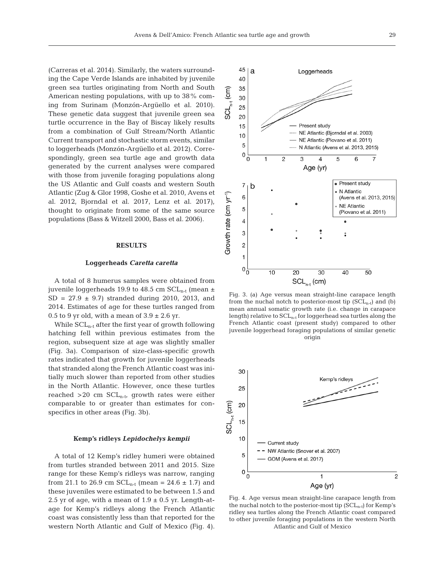(Carreras et al. 2014). Similarly, the waters surrounding the Cape Verde Islands are inhabited by juvenile green sea turtles originating from North and South American nesting populations, with up to 38% coming from Surinam (Monzón-Argüello et al. 2010). These genetic data suggest that juvenile green sea turtle occurrence in the Bay of Biscay likely results from a combination of Gulf Stream/North Atlantic Current transport and stochastic storm events, similar to loggerheads (Monzón-Argüello et al. 2012). Correspondingly, green sea turtle age and growth data generated by the current analyses were compared with those from juvenile foraging populations along the US Atlantic and Gulf coasts and western South Atlantic (Zug & Glor 1998, Goshe et al. 2010, Avens et al. 2012, Bjorndal et al. 2017, Lenz et al. 2017), thought to originate from some of the same source populations (Bass & Witzell 2000, Bass et al. 2006).

# **RESULTS**

# **Loggerheads** *Caretta caretta*

A total of 8 humerus samples were obtained from juvenile loggerheads 19.9 to 48.5 cm  $SCL_{n-t}$  (mean  $\pm$  $SD = 27.9 \pm 9.7$  stranded during 2010, 2013, and 2014. Estimates of age for these turtles ranged from 0.5 to 9 yr old, with a mean of  $3.9 \pm 2.6$  yr.

While  $SCL_{n-t}$  after the first year of growth following hatching fell within previous estimates from the region, subsequent size at age was slightly smaller (Fig. 3a). Comparison of size-class-specific growth rates indicated that growth for juvenile loggerheads that stranded along the French Atlantic coast was initially much slower than reported from other studies in the North Atlantic. However, once these turtles reached  $>20$  cm  $SCL_{n-t}$ , growth rates were either comparable to or greater than estimates for conspecifics in other areas (Fig. 3b).

#### **Kemp's ridleys** *Lepidochelys kempii*

A total of 12 Kemp's ridley humeri were obtained from turtles stranded between 2011 and 2015. Size range for these Kemp's ridleys was narrow, ranging from 21.1 to 26.9 cm  $SCL_{n-t}$  (mean = 24.6  $\pm$  1.7) and these juveniles were estimated to be between 1.5 and 2.5 yr of age, with a mean of  $1.9 \pm 0.5$  yr. Length-atage for Kemp's ridleys along the French Atlantic coast was consistently less than that reported for the western North Atlantic and Gulf of Mexico (Fig. 4).



Fig. 3. (a) Age versus mean straight-line carapace length from the nuchal notch to posterior-most tip  $(SCL_{n-t})$  and (b) mean annual somatic growth rate (i.e. change in carapace length) relative to  $SCL_{n-t}$  for loggerhead sea turtles along the French Atlantic coast (present study) compared to other juvenile loggerhead foraging populations of similar genetic origin



Fig. 4. Age versus mean straight-line carapace length from the nuchal notch to the posterior-most tip  $(SCL_{n-t})$  for Kemp's ridley sea turtles along the French Atlantic coast compared to other juvenile foraging populations in the western North Atlantic and Gulf of Mexico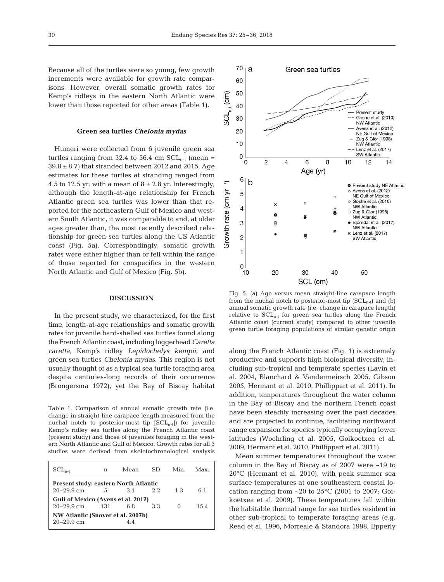Because all of the turtles were so young, few growth increments were available for growth rate comparisons. However, overall somatic growth rates for Kemp's ridleys in the eastern North Atlantic were lower than those reported for other areas (Table 1).

#### **Green sea turtles** *Chelonia mydas*

Humeri were collected from 6 juvenile green sea turtles ranging from 32.4 to 56.4 cm  $SCL_{n-t}$  (mean =  $39.8 \pm 8.7$ ) that stranded between 2012 and 2015. Age estimates for these turtles at stranding ranged from 4.5 to 12.5 yr, with a mean of  $8 \pm 2.8$  yr. Interestingly, although the length-at-age relationship for French Atlantic green sea turtles was lower than that reported for the northeastern Gulf of Mexico and western South Atlantic, it was comparable to and, at older ages greater than, the most recently described relationship for green sea turtles along the US Atlantic coast (Fig. 5a). Correspondingly, somatic growth rates were either higher than or fell within the range of those reported for conspecifics in the western North Atlantic and Gulf of Mexico (Fig. 5b).

### **DISCUSSION**

In the present study, we characterized, for the first time, length-at-age relationships and somatic growth rates for juvenile hard-shelled sea turtles found along the French Atlantic coast, including loggerhead *Caretta caretta*, Kemp's ridley *Lepidochelys kempii*, and green sea turtles *Chelonia mydas*. This region is not usually thought of as a typical sea turtle foraging area despite centuries-long records of their occurrence (Brongersma 1972), yet the Bay of Biscay habitat

Table 1. Comparison of annual somatic growth rate (i.e. change in straight-line carapace length measured from the nuchal notch to posterior-most tip  $[SCL_{n-t}])$  for juvenile Kemp's ridley sea turtles along the French Atlantic coast (present study) and those of juveniles foraging in the western North Atlantic and Gulf of Mexico. Growth rates for all 3 studies were derived from skeletochronological analysis

| n                                            | Mean  | SD.  | Min      | Max. |  |  |  |  |  |  |
|----------------------------------------------|-------|------|----------|------|--|--|--|--|--|--|
| <b>Present study: eastern North Atlantic</b> |       |      |          |      |  |  |  |  |  |  |
| 5                                            | 3.1   | 2.2. | 1.3      | 6.1  |  |  |  |  |  |  |
| Gulf of Mexico (Avens et al. 2017)           |       |      |          |      |  |  |  |  |  |  |
|                                              | 6.8   | 3.3  | $\Omega$ | 15.4 |  |  |  |  |  |  |
| NW Atlantic (Snover et al. 2007b)            |       |      |          |      |  |  |  |  |  |  |
|                                              | 44    |      |          |      |  |  |  |  |  |  |
|                                              | - 131 |      |          |      |  |  |  |  |  |  |



Fig. 5. (a) Age versus mean straight-line carapace length from the nuchal notch to posterior-most tip  $(SCL_{n-t})$  and (b) annual somatic growth rate (i.e. change in carapace length) relative to  $SCL_{n-t}$  for green sea turtles along the French Atlantic coast (current study) compared to other juvenile green turtle foraging populations of similar genetic origin

along the French Atlantic coast (Fig. 1) is extremely productive and supports high biological diversity, including sub-tropical and temperate species (Lavin et al. 2004, Blanchard & Vandermeirsch 2005, Gibson 2005, Hermant et al. 2010, Phillippart et al. 2011). In addition, temperatures throughout the water column in the Bay of Biscay and the northern French coast have been steadily increasing over the past decades and are projected to continue, facilitating northward range expansion for species typically occupying lower latitudes (Woehrling et al. 2005, Goikoetxea et al. 2009, Hermant et al. 2010, Phillippart et al. 2011).

Mean summer temperatures throughout the water column in the Bay of Biscay as of 2007 were **~**19 to 20°C (Hermant et al. 2010), with peak summer sea surface temperatures at one southeastern coastal location ranging from  $\sim$  20 to 25 $\degree$ C (2001 to 2007; Goikoetxea et al. 2009). These temperatures fall within the habitable thermal range for sea turtles resident in other sub-tropical to temperate foraging areas (e.g. Read et al. 1996, Morreale & Standora 1998, Epperly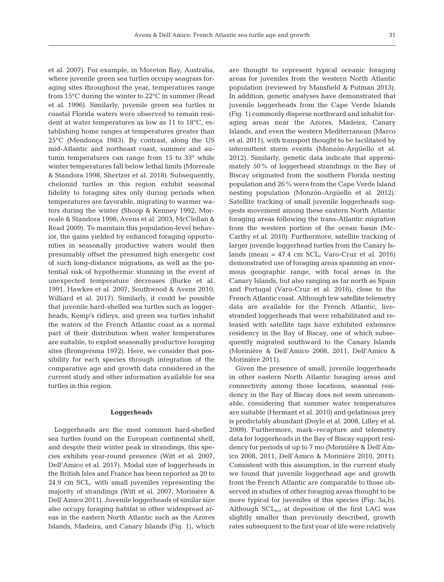et al. 2007). For example, in Moreton Bay, Australia, where juvenile green sea turtles occupy seagrass foraging sites throughout the year, temperatures range from 15°C during the winter to 22°C in summer (Read et al. 1996). Similarly, juvenile green sea turtles in coastal Florida waters were observed to remain resident at water temperatures as low as 11 to 18°C, establishing home ranges at temperatures greater than 25°C (Mendonça 1983). By contrast, along the US mid-Atlantic and northeast coast, summer and autumn temperatures can range from 15 to 33° while winter temperatures fall below lethal limits (Morreale & Standora 1998, Shertzer et al. 2018). Subsequently, cheloniid turtles in this region exhibit seasonal fidelity to foraging sites only during periods when temperatures are favorable, migrating to warmer waters during the winter (Shoop & Kenney 1992, Morreale & Standora 1998, Avens et al. 2003, McClellan & Read 2009). To maintain this population-level behavior, the gains yielded by enhanced foraging opportunities in seasonally productive waters would then presumably offset the presumed high energetic cost of such long-distance migrations, as well as the potential risk of hypothermic stunning in the event of unexpected temperature decreases (Burke et al. 1991, Hawkes et al. 2007, Southwood & Avens 2010, Williard et al. 2017). Similarly, it could be possible that juvenile hard-shelled sea turtles such as loggerheads, Kemp's ridleys, and green sea turtles inhabit the waters of the French Atlantic coast as a normal part of their distribution when water temperatures are suitable, to exploit seasonally productive foraging sites (Brongersma 1972). Here, we consider that possibility for each species through integration of the comparative age and growth data considered in the current study and other information available for sea turtles in this region.

#### **Loggerheads**

Loggerheads are the most common hard-shelled sea turtles found on the European continental shelf, and despite their winter peak in strandings, this species exhibits year-round presence (Witt et al. 2007, Dell'Amico et al. 2017). Modal size of loggerheads in the British Isles and France has been reported as 20 to 24.9 cm SCL, with small juveniles representing the majority of strandings (Witt et al. 2007, Morinière & Dell'Amico 2011). Juvenile loggerheads of similar size also occupy foraging habitat in other widespread areas in the eastern North Atlantic such as the Azores Islands, Madeira, and Canary Islands (Fig. 1), which are thought to represent typical oceanic foraging areas for juveniles from the western North Atlantic population (reviewed by Mansfield & Putman 2013). In addition, genetic analyses have demonstrated that juvenile loggerheads from the Cape Verde Islands (Fig. 1) commonly disperse northward and inhabit foraging areas near the Azores, Madeira, Canary Islands, and even the western Mediterranean (Marco et al. 2011), with transport thought to be facilitated by intermittent storm events (Monzón-Argüello et al. 2012). Similarly, genetic data indicate that approximately 50% of loggerhead strandings in the Bay of Biscay originated from the southern Florida nesting population and 26% were from the Cape Verde Island nesting population (Monzón-Argüello et al. 2012). Satellite tracking of small juvenile loggerheads suggests movement among these eastern North Atlantic foraging areas following the trans-Atlantic migration from the western portion of the ocean basin (Mc-Carthy et al. 2010). Furthermore, satellite tracking of larger juvenile loggerhead turtles from the Canary Islands (mean  $= 47.4$  cm SCL; Varo-Cruz et al. 2016) demonstrated use of foraging areas spanning an enormous geographic range, with focal areas in the Canary Islands, but also ranging as far north as Spain and Portugal (Varo-Cruz et al. 2016), close to the French Atlantic coast. Although few satellite telemetry data are available for the French Atlantic, livestranded loggerheads that were rehabilitated and released with satellite tags have exhibited extensive residency in the Bay of Biscay, one of which subsequently migrated southward to the Canary Islands (Morinière & Dell'Amico 2008, 2011, Dell'Amico & Morinière 2011).

Given the presence of small, juvenile loggerheads in other eastern North Atlantic foraging areas and connectivity among those locations, seasonal residency in the Bay of Biscay does not seem unreasonable, considering that summer water temperatures are suitable (Hermant et al. 2010) and gelatinous prey is predictably abundant (Doyle et al. 2008, Lilley et al. 2009). Furthermore, mark-recapture and telemetry data for loggerheads in the Bay of Biscay support residency for periods of up to 7 mo (Morinière & Dell'Amico 2008, 2011, Dell'Amico & Morinière 2010, 2011). Consistent with this assumption, in the current study we found that juvenile loggerhead age and growth from the French Atlantic are comparable to those observed in studies of other foraging areas thought to be more typical for juveniles of this species (Fig. 3a,b). Although  $SCL_{n-t}$  at deposition of the first LAG was slightly smaller than previously described, growth rates subsequent to the first year of life were relatively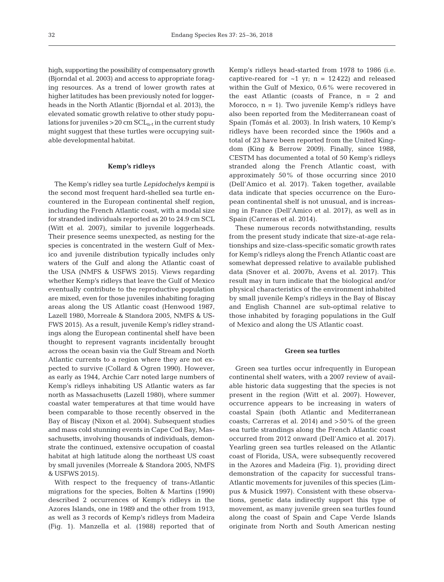high, supporting the possibility of compensatory growth (Bjorndal et al. 2003) and access to appropriate foraging resources. As a trend of lower growth rates at higher latitudes has been previously noted for loggerheads in the North Atlantic (Bjorndal et al. 2013), the elevated somatic growth relative to other study populations for juveniles  $>20$  cm  $SCL_{n-t}$  in the current study might suggest that these turtles were occupying suitable developmental habitat.

## **Kemp's ridleys**

The Kemp's ridley sea turtle *Lepidochelys kempii* is the second most frequent hard-shelled sea turtle encountered in the European continental shelf region, including the French Atlantic coast, with a modal size for stranded individuals reported as 20 to 24.9 cm SCL (Witt et al. 2007), similar to juvenile loggerheads. Their presence seems unexpected, as nesting for the species is concentrated in the western Gulf of Mexico and juvenile distribution typically includes only waters of the Gulf and along the Atlantic coast of the USA (NMFS & USFWS 2015). Views regarding whether Kemp's ridleys that leave the Gulf of Mexico eventually contribute to the reproductive population are mixed, even for those juveniles inhabiting foraging areas along the US Atlantic coast (Henwood 1987, Lazell 1980, Morreale & Standora 2005, NMFS & US-FWS 2015). As a result, juvenile Kemp's ridley strandings along the European continental shelf have been thought to represent vagrants incidentally brought across the ocean basin via the Gulf Stream and North Atlantic currents to a region where they are not expected to survive (Collard & Ogren 1990). However, as early as 1944, Archie Carr noted large numbers of Kemp's ridleys inhabiting US Atlantic waters as far north as Massachusetts (Lazell 1980), where summer coastal water temperatures at that time would have been comparable to those recently observed in the Bay of Biscay (Nixon et al. 2004). Subsequent studies and mass cold stunning events in Cape Cod Bay, Massachusetts, involving thousands of individuals, demonstrate the continued, extensive occupation of coastal habitat at high latitude along the northeast US coast by small juveniles (Morreale & Standora 2005, NMFS & USFWS 2015).

With respect to the frequency of trans-Atlantic migrations for the species, Bolten & Martins (1990) described 2 occurrences of Kemp's ridleys in the Azores Islands, one in 1989 and the other from 1913, as well as 3 records of Kemp's ridleys from Madeira (Fig. 1). Manzella et al. (1988) reported that of

Kemp's ridleys head-started from 1978 to 1986 (i.e. captive-reared for  $\sim$ 1 yr; n = 12422) and released within the Gulf of Mexico, 0.6% were recovered in the east Atlantic (coasts of France,  $n = 2$  and Morocco,  $n = 1$ ). Two juvenile Kemp's ridleys have also been reported from the Mediterranean coast of Spain (Tomás et al. 2003). In Irish waters, 10 Kemp's ridleys have been recorded since the 1960s and a total of 23 have been reported from the United Kingdom (King & Berrow 2009). Finally, since 1988, CESTM has documented a total of 50 Kemp's ridleys stranded along the French Atlantic coast, with approximately 50% of those occurring since 2010 (Dell'Amico et al. 2017). Taken together, available data indicate that species occurrence on the European continental shelf is not unusual, and is increasing in France (Dell'Amico et al. 2017), as well as in Spain (Carreras et al. 2014).

These numerous records notwithstanding, results from the present study indicate that size-at-age relationships and size-class-specific somatic growth rates for Kemp's ridleys along the French Atlantic coast are somewhat depressed relative to available published data (Snover et al. 2007b, Avens et al. 2017). This result may in turn indicate that the biological and/or physical characteristics of the environment inhabited by small juvenile Kemp's ridleys in the Bay of Biscay and English Channel are sub-optimal relative to those inhabited by foraging populations in the Gulf of Mexico and along the US Atlantic coast.

#### **Green sea turtles**

Green sea turtles occur infrequently in European continental shelf waters, with a 2007 review of available historic data suggesting that the species is not present in the region (Witt et al. 2007). However, occurrence appears to be increasing in waters of coastal Spain (both Atlantic and Mediterranean coasts; Carreras et al. 2014) and >50% of the green sea turtle strandings along the French Atlantic coast occurred from 2012 onward (Dell'Amico et al. 2017). Yearling green sea turtles released on the Atlantic coast of Florida, USA, were subsequently recovered in the Azores and Madeira (Fig. 1), providing direct demonstration of the capacity for successful trans-Atlantic movements for juveniles of this species (Limpus & Musick 1997). Consistent with these observations, genetic data indirectly support this type of movement, as many juvenile green sea turtles found along the coast of Spain and Cape Verde Islands originate from North and South American nesting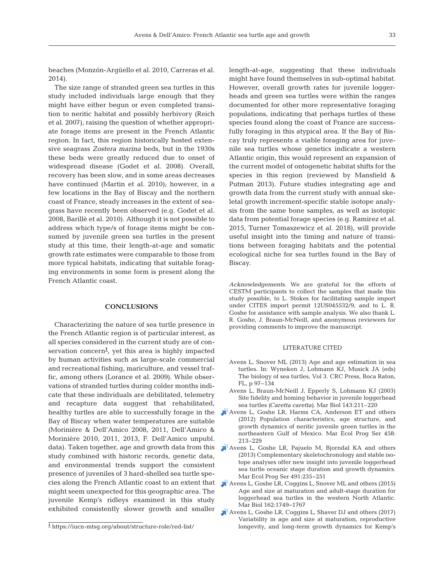beaches (Monzón-Argüello et al. 2010, Carreras et al. 2014).

The size range of stranded green sea turtles in this study included individuals large enough that they might have either begun or even completed transition to neritic habitat and possibly herbivory (Reich et al. 2007), raising the question of whether appropriate forage items are present in the French Atlantic region. In fact, this region historically hosted extensive seagrass *Zostera marina* beds, but in the 1930s these beds were greatly reduced due to onset of widespread disease (Godet et al. 2008). Overall, recovery has been slow, and in some areas decreases have continued (Martin et al. 2010); however, in a few locations in the Bay of Biscay and the northern coast of France, steady increases in the extent of seagrass have recently been observed (e.g. Godet et al. 2008, Barillè et al. 2010). Although it is not possible to address which type/s of forage items might be consumed by juvenile green sea turtles in the present study at this time, their length-at-age and somatic growth rate estimates were comparable to those from more typical habitats, indicating that suitable foraging environments in some form is present along the French Atlantic coast.

# **CONCLUSIONS**

Characterizing the nature of sea turtle presence in the French Atlantic region is of particular interest, as all species considered in the current study are of conservation concern**<sup>1</sup>** , yet this area is highly impacted by human activities such as large-scale commercial and recreational fishing, mariculture, and vessel traffic, among others (Lorance et al. 2009). While observations of stranded turtles during colder months indicate that these individuals are debilitated, telemetry and recapture data suggest that rehabilitated, healthy turtles are able to successfully forage in the Bay of Biscay when water temperatures are suitable (Morinière & Dell'Amico 2008, 2011, Dell'Amico & Morinière 2010, 2011, 2013, F. Dell'Amico unpubl. data). Taken together, age and growth data from this study combined with historic records, genetic data, and environmental trends support the consistent presence of juveniles of 3 hard-shelled sea turtle species along the French Atlantic coast to an extent that might seem unexpected for this geographic area. The juvenile Kemp's ridleys examined in this study exhibited consistently slower growth and smaller

length-at-age, suggesting that these individuals might have found themselves in sub-optimal habitat. However, overall growth rates for juvenile loggerheads and green sea turtles were within the ranges documented for other more representative foraging populations, indicating that perhaps turtles of these species found along the coast of France are successfully foraging in this atypical area. If the Bay of Biscay truly represents a viable foraging area for juvenile sea turtles whose genetics indicate a western Atlantic origin, this would represent an expansion of the current model of ontogenetic habitat shifts for the species in this region (reviewed by Mansfield & Putman 2013). Future studies integrating age and growth data from the current study with annual ske letal growth increment-specific stable isotope analysis from the same bone samples, as well as isotopic data from potential forage species (e.g. Ramirez et al. 2015, Turner Tomaszewicz et al. 2018), will provide useful insight into the timing and nature of transitions between foraging habitats and the potential ecological niche for sea turtles found in the Bay of Biscay.

*Acknowledgements*. We are grateful for the efforts of CESTM participants to collect the samples that made this study possible, to L. Stokes for facilitating sample import under CITES import permit 12US045532/9, and to L. R. Goshe for assistance with sample analysis. We also thank L. R. Goshe, J. Braun-McNeill, and anonymous reviewers for providing comments to improve the manuscript.

# LITERATURE CITED

- Avens L, Snover ML (2013) Age and age estimation in sea turtles. In:Wyneken J, Lohmann KJ, Musick JA (eds) The biology of sea turtles, Vol 3. CRC Press, Boca Raton, FL, p 97−134
- Avens L, Braun-McNeill J, Epperly S, Lohmann KJ (2003) Site fidelity and homing behavior in juvenile loggerhead sea turtles *(Caretta caretta)*. Mar Biol 143:211-220
- [Avens L, Goshe LR, Harms CA, Anderson ET and others](https://doi.org/10.3354/meps09720) (2012) Population characteristics, age structure, and growth dynamics of neritic juvenile green turtles in the northeastern Gulf of Mexico. Mar Ecol Prog Ser 458: 213−229
- [Avens L, Goshe LR, Pajuelo M, Bjorndal KA and others](https://doi.org/10.3354/meps10454) (2013) Complementary skeletochronology and stable isotope analyses offer new insight into juvenile loggerhead sea turtle oceanic stage duration and growth dynamics. Mar Ecol Prog Ser 491:235-251
- [Avens L, Goshe LR, Coggins L, Snover ML and others \(2015\)](https://doi.org/10.1007/s00227-015-2705-x) Age and size at maturation and adult-stage duration for loggerhead sea turtles in the western North Atlantic. Mar Biol 162:1749-1767
- [Avens L, Goshe LR, Coggins L, Shaver DJ and others \(2017\)](https://doi.org/10.1371/journal.pone.0173999) Variability in age and size at maturation, reproductive <sup>1</sup> https://iucn-mtsg.org/about/structure-role/red-list/ **1** longevity, and long-term growth dynamics for Kemp's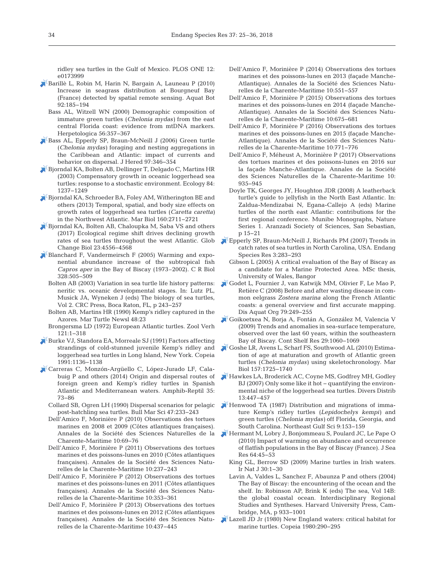ridley sea turtles in the Gulf of Mexico. PLOS ONE 12: e0173999

- [Barillè L, Robin M, Harin N, Bargain A, Launeau P \(2010\)](https://doi.org/10.1016/j.aquabot.2009.11.006) Increase in seagrass distribution at Bourgneuf Bay (France) detected by spatial remote sensing. Aquat Bot 92: 185−194
- Bass AL, Witzell WN (2000) Demographic composition of immature green turtles (*Chelonia mydas)* from the east central Florida coast: evidence from mtDNA markers. Herpetologica 56:357-367
- [Bass AL, Epperly SP, Braun-McNeill J \(2006\) Green turtle](https://doi.org/10.1093/jhered/esl004) (*Chelonia mydas)* foraging and nesting aggregations in the Caribbean and Atlantic: impact of currents and behavior on dispersal. J Hered 97: 346−354
- [Bjorndal KA, Bolten AB, Dellinger T, Delgado C, Martins HR](https://doi.org/10.1890/0012-9658(2003)084%5b1237%3ACGIOLS%5d2.0.CO%3B2) (2003) Compensatory growth in oceanic loggerhead sea turtles: response to a stochastic environment. Ecology 84: 1237−1249
- [Bjorndal KA, Schroeder BA, Foley AM, Witherington BE and](https://doi.org/10.1007/s00227-013-2264-y) others (2013) Temporal, spatial, and body size effects on growth rates of loggerhead sea turtles (*Caretta caretta)* in the Northwest Atlantic. Mar Biol 160: 2711−2721
- [Bjorndal KA, Bolten AB, Chaloupka M, Saba VS and others](https://doi.org/10.1111/gcb.13712) (2017) Ecological regime shift drives declining growth rates of sea turtles throughout the west Atlantic. Glob Change Biol 23: 4556−4568
- $\blacktriangleright$  [Blanchard F, Vandermeirsch F \(2005\) Warming and expo](https://doi.org/10.1016/j.crvi.2004.12.006)nential abundance increase of the subtropical fish *Capros aper* in the Bay of Biscay (1973–2002). C R Biol 328: 505−509
	- Bolten AB (2003) Variation in sea turtle life history patterns: neritic vs. oceanic developmental stages. In:Lutz PL, Musick JA, Wyneken J (eds) The biology of sea turtles, Vol 2. CRC Press, Boca Raton, FL, p 243−257
	- Bolten AB, Martins HR (1990) Kemp's ridley captured in the Azores. Mar Turtle Newsl 48:23
	- Brongersma LD (1972) European Atlantic turtles. Zool Verh 121: 1−318
- [Burke VJ, Standora EA, Morreale SJ \(1991\) Factors affecting](https://doi.org/10.2307/1446115) strandings of cold-stunned juvenile Kemp's ridley and loggerhead sea turtles in Long Island, New York. Copeia 1991: 1136−1138
- [Carreras C, Monzón-Argüello C, López-Jurado LF, Cala](https://doi.org/10.1163/15685381-00002929)  buig P and others (2014) Origin and dispersal routes of foreign green and Kemp's ridley turtles in Spanish Atlantic and Mediterranean waters. Amphib-Reptil 35: 73−86
	- Collard SB, Ogren LH (1990) Dispersal scenarios for pelagic post-hatchling sea turtles. Bull Mar Sci 47:233-243
	- Dell'Amico F, Morinière P (2010) Observations des tortues marines en 2008 et 2009 (Côtes atlantiques françaises). Annales de la Société des Sciences Naturelles de la Charente-Maritime 10: 69−76
	- Dell'Amico F, Morinière P (2011) Observations des tortues marines et des poissons-lunes en 2010 (Côtes atlantiques françaises). Annales de la Société des Sciences Naturelles de la Charente-Maritime 10: 237−243
	- Dell'Amico F, Morinière P (2012) Observations des tortues marines et des poissons-lunes en 2011 (Côtes atlantiques françaises). Annales de la Société des Sciences Naturelles de la Charente-Maritime 10: 353−361
	- Dell'Amico F, Morinière P (2013) Observations des tortues marines et des poissons-lunes en 2012 (Côtes atlantiques françaises). Annales de la Société des Sciences Naturelles de la Charente-Maritime 10: 437−445
- Dell'Amico F, Morinière P (2014) Observations des tortues marines et des poissons-lunes en 2013 (façade Manche-Atlantique). Annales de la Société des Sciences Naturelles de la Charente-Maritime 10: 551−557
- Dell'Amico F, Morinière P (2015) Observations des tortues marines et des poissons-lunes en 2014 (façade Manche-Atlantique). Annales de la Société des Sciences Naturelles de la Charente-Maritime 10: 675−681
- Dell'Amico F, Morinière P (2016) Observations des tortues marines et des poissons-lunes en 2015 (façade Manche-Atlantique). Annales de la Société des Sciences Naturelles de la Charente-Maritime 10: 771−776
- Dell'Amico F, Méheust A, Morinière P (2017) Observations des tortues marines et des poissons-lunes en 2016 sur la façade Manche-Atlantique. Annales de la Société des Sciences Naturelles de la Charente-Maritime 10: 935−945
- Doyle TK, Georges JY, Houghton JDR (2008) A leatherback turtle's guide to jellyfish in the North East Atlantic. In: Zaldua-Mendizabai N, Egana-Callejo A (eds) Marine turtles of the north east Atlantic: contributions for the first regional conference. Munibe Monographs, Nature Series 1. Aranzadi Society of Sciences, San Sebastian, p 15−21
- [Epperly SP, Braun-McNeill J, Richards PM \(2007\) Trends in](https://doi.org/10.3354/esr00054) catch rates of sea turtles in North Carolina, USA. Endang Species Res 3: 283−293
	- Gibson L (2005) A critical evaluation of the Bay of Biscay as a candidate for a Marine Protected Area. MSc thesis, University of Wales, Bangor
- [Godet L, Fournier J, van Katwijk MM, Olivier F, Le Mao P,](https://doi.org/10.3354/dao01897) Retière C (2008) Before and after wasting disease in common eelgrass *Zostera marina* along the French Atlantic coasts: a general overview and first accurate mapping. Dis Aquat Org 79:249-255
- [Goikoetxea N, Borja A, Fontán A, González M, Valencia V](https://doi.org/10.1016/j.csr.2008.11.014) (2009) Trends and anomalies in sea-surface temperature, observed over the last 60 years, within the southeastern Bay of Biscay. Cont Shelf Res 29: 1060−1069
- [Goshe LR, Avens L, Scharf FS, Southwood AL \(2010\) Estima](https://doi.org/10.1007/s00227-010-1446-0)tion of age at maturation and growth of Atlantic green turtles (*Chelonia mydas)* using skeletochronology. Mar Biol 157: 1725−1740
- [Hawkes LA, Broderick AC, Coyne MS, Godfrey MH, Godley](https://doi.org/10.1111/j.1472-4642.2007.00354.x) BJ (2007) Only some like it hot − quantifying the environmental niche of the loggerhead sea turtles. Divers Distrib 13: 447−457
- [Henwood TA \(1987\) Distribution and migrations of imma](https://doi.org/10.18785/negs.0902.11)ture Kemp's ridley turtles (*Lepidochelys kempi)* and green turtles (*Chelonia mydas)* off Florida, Georgia, and South Carolina. Northeast Gulf Sci 9: 153−159
- [Hermant M, Lobry J, Bonjommeau S, Poulard JC, Le Pape O](https://doi.org/10.1016/j.seares.2009.07.001) (2010) Impact of warming on abundance and occurrence of flatfish populations in the Bay of Biscay (France). J Sea Res 64:45–53
	- King GL, Berrow SD (2009) Marine turtles in Irish waters. Ir Nat J 30: 1−30
	- Lavin A, Valdes L, Sanchez F, Abaunza P and others (2004) The Bay of Biscay: the encountering of the ocean and the shelf. In: Robinson AP, Brink K (eds) The sea, Vol 14B: the global coastal ocean. Interdisciplinary Regional Studies and Syntheses. Harvard University Press, Cambridge, MA, p 933−1001
- Lazell JD Jr (1980) New England waters: critical habitat for marine turtles. Copeia 1980: 290−295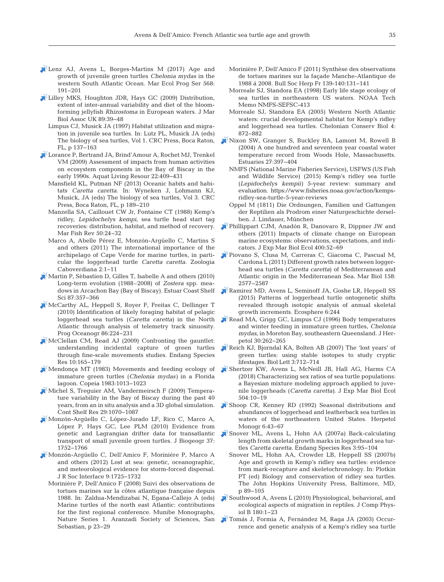- [Lenz AJ, Avens L, Borges-Martins M \(2017\) Age and](https://doi.org/10.3354/meps12056) growth of juvenile green turtles *Chelonia mydas* in the western South Atlantic Ocean. Mar Ecol Prog Ser 568: 191−201
- [Lilley MKS, Houghton JDR, Hays GC \(2009\) Distribution,](https://doi.org/10.1017/S0025315408002439) extent of inter-annual variability and diet of the bloomforming jellyfish *Rhizostoma* in European waters. J Mar Biol Assoc UK 89:39-48
	- Limpus CJ, Musick JA (1997) Habitat utilization and migration in juvenile sea turtles. In:Lutz PL, Musick JA (eds) The biology of sea turtles, Vol 1. CRC Press, Boca Raton, FL, p 137−163
- [Lorance P, Bertrand JA, Brind'Amour A, Rochet MJ, Trenkel](https://doi.org/10.1051/alr/2009049) VM (2009) Assessment of impacts from human activities on ecosystem components in the Bay of Biscay in the early 1990s. Aquat Living Resour 22:409-431
	- Mansfield KL, Putman NF (2013) Oceanic habits and habitats *Caretta caretta*. In:Wyneken J, Lohmann KJ, Musick, JA (eds) The biology of sea turtles, Vol 3. CRC Press, Boca Raton, FL, p 189−210
	- Manzella SA, Caillouet CW Jr, Fontaine CT (1988) Kemp's ridley, *Lepidochelys kempi*, sea turtle head start tag recoveries: distribution, habitat, and method of recovery. Mar Fish Rev 50:24-32
	- Marco A, Abelle Pérez E, Monzón-Argüello C, Martins S and others (2011) The international importance of the archipelago of Cape Verde for marine turtles, in particular the loggerhead turtle *Caretta caretta*. Zoologia Caboverdiana 2: 1−11
- $\lambda^*$ [Martin P, Sèbastien D, Gilles T, Isabelle A and others \(2010\)](https://doi.org/10.1016/j.ecss.2010.01.016) Long-term evolution (1988–2008) of *Zostera* spp. mea dows in Arcachon Bay (Bay of Biscay). Estuar Coast Shelf Sci 87: 357−366
- [McCarthy AL, Heppell S, Royer F, Freitas C, Dellinger T](https://doi.org/10.1016/j.pocean.2010.04.009) (2010) Identification of likely foraging habitat of pelagic loggerhead sea turtles (*Caretta caretta)* in the North Atlantic through analysis of telemetry track sinuosity. Prog Oceanogr 86:224-231
- [McClellan CM, Read AJ \(2009\) Confronting the gauntlet:](https://doi.org/10.3354/esr00199)  understanding incidental capture of green turtles through fine-scale movements studies. Endang Species Res 10: 165−179
- [Mendonça MT \(1983\) Movements and feeding ecology of](https://doi.org/10.2307/1445104) immature green turtles (*Chelonia mydas)* in a Florida lagoon. Copeia 1983: 1013−1023
- [Michel S, Treguier AM, Vandermeirsch F \(2009\) Tempera](https://doi.org/10.1016/j.csr.2008.11.019)ture variability in the Bay of Biscay during the past 40 years, from an in situ analysis and a 3D global simulation. Cont Shelf Res 29: 1070−1087
- [Monzón-Argüello C, López-Jurado LF, Rico C, Marco A,](https://doi.org/10.1111/j.1365-2699.2010.02326.x) López P, Hays GC, Lee PLM (2010) Evidence from genetic and Lagrangian drifter data for transatlantic transport of small juvenile green turtles. J Biogeogr 37: 1752−1766
- [Monzón-Argüello C, Dell'Amico F, Moriniére P, Marco A](https://doi.org/10.1098/rsif.2011.0788) and others (2012) Lost at sea: genetic, oceanographic, and meteorological evidence for storm-forced dispersal. J R Soc Interface 9: 1725−1732
	- Morinière P, Dell'Amico F (2008) Suivi des observations de tortues marines sur la côtes atlantique française depuis 1988. In:Zaldua-Mendizabai N, Egana-Callejo A (eds) Marine turtles of the north east Atlantic: contributions for the first regional conference. Munibe Monographs, Nature Series 1. Aranzadi Society of Sciences, San Sebastian, p 23−29
- Morinière P, Dell'Amico F (2011) Synthèse des observations de tortues marines sur la façade Manche-Atlantique de 1988 á 2008. Bull Soc Herp Fr 139-140: 131−141
- Morreale SJ, Standora EA (1998) Early life stage ecology of sea turtles in northeastern US waters. NOAA Tech Memo NMFS-SEFSC-413
- Morreale SJ, Standora EA (2005) Western North Atlantic waters: crucial developmental habitat for Kemp's ridley and loggerhead sea turtles. Chelonian Conserv Biol 4: 872−882
- [Nixon SW, Granger S, Buckley BA, Lamont M, Rowell B](https://doi.org/10.1007/BF02803532) (2004) A one hundred and seventeen year coastal water temperature record from Woods Hole, Massachusetts. Estuaries 27: 397−404
	- NMFS (National Marine Fisheries Service), USFWS (US Fish and Wildlife Service) (2015) Kemp's ridley sea turtle (Lepidochelys kempii) 5-year review: summary and evaluation. https://www.fisheries.noaa.gov/action/kempsridley-sea-turtle-5-year-reviews
	- Oppel M (1811) Die Ordnungen, Familien und Gattungen der Reptilien als Prodrom einer Naturgeschichte derselben. J. Lindauer, München
- [Phillippart CJM, Anadón R, Danovaro R, Dippner JW and](https://doi.org/10.1016/j.jembe.2011.02.023) others (2011) Impacts of climate change on European marine ecosystems: observations, expectations, and indicators. J Exp Mar Biol Ecol 400:52-69
- [Piovano S, Clusa M, Carreras C, Giacoma C, Pascual M,](https://doi.org/10.1007/s00227-011-1759-7) Cardona L (2011) Different growth rates between loggerhead sea turtles (*Caretta caretta*) of Mediterranean and Atlantic origin in the Mediterranean Sea. Mar Biol 158: 2577−2587
- [Ramirez MD, Avens L, Seminoff JA, Goshe LR, Heppell SS](https://doi.org/10.1890/ES15-00255.1) (2015) Patterns of loggerhead turtle ontogenetic shifts revealed through isotopic analysis of annual skeletal growth increments. Ecosphere 6:244
- [Read MA, Grigg GC, Limpus CJ \(1996\) Body temperatures](https://doi.org/10.2307/1565520) and winter feeding in immature green turtles, *Chelonia mydas*, in Moreton Bay, southeastern Queensland. J Herpetol 30:262-265
- [Reich KJ, Bjorndal KA, Bolten AB \(2007\) The 'lost years' of](https://doi.org/10.1098/rsbl.2007.0394) green turtles: using stable isotopes to study cryptic lifestages. Biol Lett 3: 712−714
- [Shertzer KW, Avens L, McNeill JB, Hall AG, Harms CA](https://doi.org/10.1016/j.jembe.2018.03.006) (2018) Characterizing sex ratios of sea turtle populations: a Bayesian mixture modeling approach applied to juvenile loggerheads (*Caretta caretta)*. J Exp Mar Biol Ecol 504: 10−19
- [Shoop CR, Kenney RD \(1992\) Seasonal distributions and](https://doi.org/10.2307/1466961) abundances of loggerhead and leatherback sea turtles in waters of the northeastern United States. Herpetol Monogr 6:43-67
- [Snover ML, Avens L, Hohn AA \(2007a\) Back-calculating](https://doi.org/10.3354/esr003095) length from skeletal growth marks in loggerhead sea turtles Caretta caretta. Endang Species Res 3:95-104
	- Snover ML, Hohn AA, Crowder LB, Heppell SS (2007b) Age and growth in Kemp's ridley sea turtles: evidence from mark-recapture and skeletochronology. In: Plotkin PT (ed) Biology and conservation of ridley sea turtles. The John Hopkins University Press, Baltimore, MD, p 89−105
- [Southwood A, Avens L \(2010\) Physiological, behavioral, and](https://doi.org/10.1007/s00360-009-0415-8) ecological aspects of migration in reptiles. J Comp Physiol B 180:1-23
- [Tomás J, Formia A, Fernández M, Raga JA \(2003\) Occur](https://doi.org/10.3989/scimar.2003.67n3367)rence and genetic analysis of a Kemp's ridley sea turtle